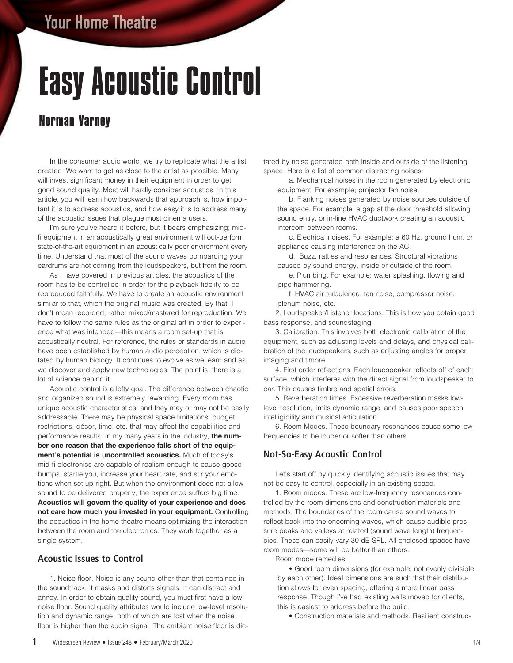# Easy Acoustic Control

### **Norman Varney**

 In the consumer audio world, we try to replicate what the artist created. We want to get as close to the artist as possible. Many will invest significant money in their equipment in order to get good sound quality. Most will hardly consider acoustics. In this article, you will learn how backwards that approach is, how important it is to address acoustics, and how easy it is to address many of the acoustic issues that plague most cinema users.

I'm sure you've heard it before, but it bears emphasizing; midfi equipment in an acoustically great environment will out-perform state-of-the-art equipment in an acoustically poor environment every time. Understand that most of the sound waves bombarding your eardrums are not coming from the loudspeakers, but from the room.

 As I have covered in previous articles, the acoustics of the room has to be controlled in order for the playback fidelity to be reproduced faithfully. We have to create an acoustic environment similar to that, which the original music was created. By that, I don't mean recorded, rather mixed/mastered for reproduction. We have to follow the same rules as the original art in order to experience what was intended—this means a room set-up that is acoustically neutral. For reference, the rules or standards in audio have been established by human audio perception, which is dictated by human biology. It continues to evolve as we learn and as we discover and apply new technologies. The point is, there is a lot of science behind it.

 Acoustic control is a lofty goal. The difference between chaotic and organized sound is extremely rewarding. Every room has unique acoustic characteristics, and they may or may not be easily addressable. There may be physical space limitations, budget restrictions, décor, time, etc. that may affect the capabilities and performance results. In my many years in the industry, **the number one reason that the experience falls short of the equipment's potential is uncontrolled acoustics.** Much of today's mid-fi electronics are capable of realism enough to cause goosebumps, startle you, increase your heart rate, and stir your emotions when set up right. But when the environment does not allow sound to be delivered properly, the experience suffers big time. **Acoustics will govern the quality of your experience and does not care how much you invested in your equipment.** Controlling the acoustics in the home theatre means optimizing the interaction between the room and the electronics. They work together as a single system.

#### **Acoustic Issues to Control**

 1. Noise floor. Noise is any sound other than that contained in the soundtrack. It masks and distorts signals. It can distract and annoy. In order to obtain quality sound, you must first have a low noise floor. Sound quality attributes would include low-level resolution and dynamic range, both of which are lost when the noise floor is higher than the audio signal. The ambient noise floor is dictated by noise generated both inside and outside of the listening space. Here is a list of common distracting noises:

 a. Mechanical noises in the room generated by electronic equipment. For example; projector fan noise.

 b. Flanking noises generated by noise sources outside of the space. For example: a gap at the door threshold allowing sound entry, or in-line HVAC ductwork creating an acoustic intercom between rooms.

 c. Electrical noises. For example; a 60 Hz. ground hum, or appliance causing interference on the AC.

 d.. Buzz, rattles and resonances. Structural vibrations caused by sound energy, inside or outside of the room.

 e. Plumbing. For example; water splashing, flowing and pipe hammering.

 f. HVAC air turbulence, fan noise, compressor noise, plenum noise, etc.

 2. Loudspeaker/Listener locations. This is how you obtain good bass response, and soundstaging.

 3. Calibration. This involves both electronic calibration of the equipment, such as adjusting levels and delays, and physical calibration of the loudspeakers, such as adjusting angles for proper imaging and timbre.

 4. First order reflections. Each loudspeaker reflects off of each surface, which interferes with the direct signal from loudspeaker to ear. This causes timbre and spatial errors.

 5. Reverberation times. Excessive reverberation masks lowlevel resolution, limits dynamic range, and causes poor speech intelligibility and musical articulation.

 6. Room Modes. These boundary resonances cause some low frequencies to be louder or softer than others.

#### **Not-So-Easy Acoustic Control**

Let's start off by quickly identifying acoustic issues that may not be easy to control, especially in an existing space.

 1. Room modes. These are low-frequency resonances controlled by the room dimensions and construction materials and methods. The boundaries of the room cause sound waves to reflect back into the oncoming waves, which cause audible pressure peaks and valleys at related (sound wave length) frequencies. These can easily vary 30 dB SPL. All enclosed spaces have room modes—some will be better than others.

Room mode remedies:

 • Good room dimensions (for example; not evenly divisible by each other). Ideal dimensions are such that their distribution allows for even spacing, offering a more linear bass response. Though I've had existing walls moved for clients, this is easiest to address before the build.

• Construction materials and methods. Resilient construc-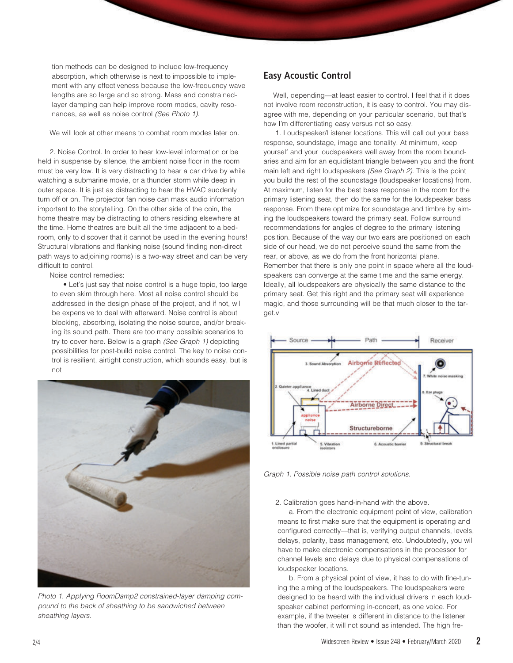tion methods can be designed to include low-frequency absorption, which otherwise is next to impossible to implement with any effectiveness because the low-frequency wave lengths are so large and so strong. Mass and constrainedlayer damping can help improve room modes, cavity resonances, as well as noise control (See Photo 1).

We will look at other means to combat room modes later on.

 2. Noise Control. In order to hear low-level information or be held in suspense by silence, the ambient noise floor in the room must be very low. It is very distracting to hear a car drive by while watching a submarine movie, or a thunder storm while deep in outer space. It is just as distracting to hear the HVAC suddenly turn off or on. The projector fan noise can mask audio information important to the storytelling. On the other side of the coin, the home theatre may be distracting to others residing elsewhere at the time. Home theatres are built all the time adjacent to a bedroom, only to discover that it cannot be used in the evening hours! Structural vibrations and flanking noise (sound finding non-direct path ways to adjoining rooms) is a two-way street and can be very difficult to control.

Noise control remedies:

 • Let's just say that noise control is a huge topic, too large to even skim through here. Most all noise control should be addressed in the design phase of the project, and if not, will be expensive to deal with afterward. Noise control is about blocking, absorbing, isolating the noise source, and/or breaking its sound path. There are too many possible scenarios to try to cover here. Below is a graph (See Graph 1) depicting possibilities for post-build noise control. The key to noise control is resilient, airtight construction, which sounds easy, but is not



Photo 1. Applying RoomDamp2 constrained-layer damping compound to the back of sheathing to be sandwiched between sheathing layers.

#### **Easy Acoustic Control**

Well, depending—at least easier to control. I feel that if it does not involve room reconstruction, it is easy to control. You may disagree with me, depending on your particular scenario, but that's how I'm differentiating easy versus not so easy.

 1. Loudspeaker/Listener locations. This will call out your bass response, soundstage, image and tonality. At minimum, keep yourself and your loudspeakers well away from the room boundaries and aim for an equidistant triangle between you and the front main left and right loudspeakers (See Graph 2). This is the point you build the rest of the soundstage (loudspeaker locations) from. At maximum, listen for the best bass response in the room for the primary listening seat, then do the same for the loudspeaker bass response. From there optimize for soundstage and timbre by aiming the loudspeakers toward the primary seat. Follow surround recommendations for angles of degree to the primary listening position. Because of the way our two ears are positioned on each side of our head, we do not perceive sound the same from the rear, or above, as we do from the front horizontal plane. Remember that there is only one point in space where all the loudspeakers can converge at the same time and the same energy. Ideally, all loudspeakers are physically the same distance to the primary seat. Get this right and the primary seat will experience magic, and those surrounding will be that much closer to the target.v



Graph 1. Possible noise path control solutions.

#### 2. Calibration goes hand-in-hand with the above.

 a. From the electronic equipment point of view, calibration means to first make sure that the equipment is operating and configured correctly—that is, verifying output channels, levels, delays, polarity, bass management, etc. Undoubtedly, you will have to make electronic compensations in the processor for channel levels and delays due to physical compensations of loudspeaker locations.

 b. From a physical point of view, it has to do with fine-tuning the aiming of the loudspeakers. The loudspeakers were designed to be heard with the individual drivers in each loudspeaker cabinet performing in-concert, as one voice. For example, if the tweeter is different in distance to the listener than the woofer, it will not sound as intended. The high fre-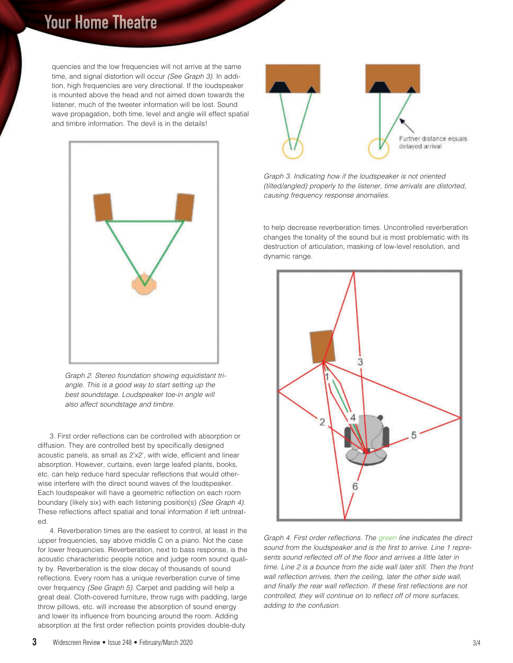## **Your Home Theatre**

quencies and the low frequencies will not arrive at the same time, and signal distortion will occur (See Graph 3). In addition, high frequencies are very directional. If the loudspeaker is mounted above the head and not aimed down towards the listener, much of the tweeter information will be lost. Sound wave propagation, both time, level and angle will effect spatial and timbre information. The devil is in the details!



Graph 2. Stereo foundation showing equidistant triangle. This is a good way to start setting up the best soundstage. Loudspeaker toe-in angle will also affect soundstage and timbre.

 3. First order reflections can be controlled with absorption or diffusion. They are controlled best by specifically designed acoustic panels, as small as 2'x2', with wide, efficient and linear absorption. However, curtains, even large leafed plants, books, etc. can help reduce hard specular reflections that would otherwise interfere with the direct sound waves of the loudspeaker. Each loudspeaker will have a geometric reflection on each room boundary (likely six) with each listening position(s) (See Graph 4). These reflections affect spatial and tonal information if left untreated.

 4. Reverberation times are the easiest to control, at least in the upper frequencies, say above middle C on a piano. Not the case for lower frequencies. Reverberation, next to bass response, is the acoustic characteristic people notice and judge room sound quality by. Reverberation is the slow decay of thousands of sound reflections. Every room has a unique reverberation curve of time over frequency (See Graph 5). Carpet and padding will help a great deal. Cloth-covered furniture, throw rugs with padding, large throw pillows, etc. will increase the absorption of sound energy and lower its influence from bouncing around the room. Adding absorption at the first order reflection points provides double-duty



Graph 3. Indicating how if the loudspeaker is not oriented (tilted/angled) properly to the listener, time arrivals are distorted, causing frequency response anomalies.

to help decrease reverberation times. Uncontrolled reverberation changes the tonality of the sound but is most problematic with its destruction of articulation, masking of low-level resolution, and dynamic range.



Graph 4. First order reflections. The green line indicates the direct sound from the loudspeaker and is the first to arrive. Line 1 represents sound reflected off of the floor and arrives a little later in time. Line 2 is a bounce from the side wall later still. Then the front wall reflection arrives, then the ceiling, later the other side wall, and finally the rear wall reflection. If these first reflections are not controlled, they will continue on to reflect off of more surfaces, adding to the confusion.